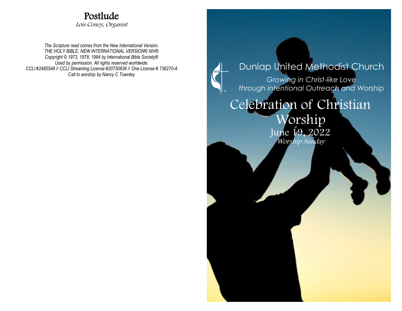## Postlude

Lois Coney, Organist

*The Scripture read comes from the New International Version. THE HOLY BIBLE, NEW INTERNATIONAL VERSION® NIV® Copyright © 1973, 1978, 1984 by International Bible Society® Used by permission. All rights reserved worldwide. CCLI #2485548* // *CCLI Streaming License #20730636* // *One License # 736270-A Call to worship by Nancy C Townley*

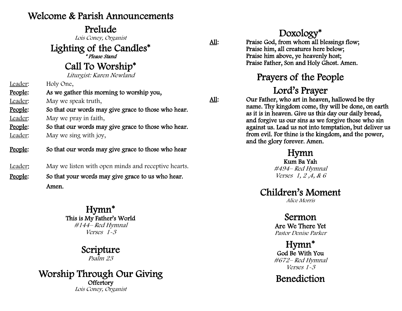#### Welcome & Parish Announcements

#### Prelude

Lois Coney, Organist

Lighting of the Candles\*

\* Please Stand

#### Call To Worship\*

Liturgist: Karen Newland

Leader: Holy One,

People: As we gather this morning to worship you,

Leader: May we speak truth,

People: So that our words may give grace to those who hear. Leader: May we pray in faith,

People: So that our words may give grace to those who hear. Leader: May we sing with joy,

- People: So that our words may give grace to those who hear
- Leader: May we listen with open minds and receptive hearts.
- People: So that your words may give grace to us who hear. Amen.

Hymn\* This is My Father's World #144– Red Hymnal Verses 1-3

#### Scripture Psalm 23

Worship Through Our Giving **Offertory** Lois Coney, Organist

Doxology\* All: Praise God, from whom all blessings flow; Praise him, all creatures here below; Praise him above, ye heavenly host; Praise Father, Son and Holy Ghost. Amen.

## Prayers of the People

## Lord's Prayer

All: Our Father, who art in heaven, hallowed be thy name. Thy kingdom come, thy will be done, on earth as it is in heaven. Give us this day our daily bread, and forgive us our sins as we forgive those who sin against us. Lead us not into temptation, but deliver us from evil. For thine is the kingdom, and the power, and the glory forever. Amen.

#### Hymn

Kum Ba Yah #494– Red Hymnal Verses 1, 2 ,4, & 6

#### Children's Moment

Alice Morris

#### Sermon

Are We There Yet Pastor Denise Parker

Hymn\* God Be With You #672– Red Hymnal Verses 1-3

## Benediction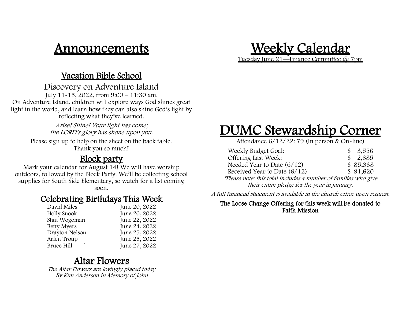## Announcements

### Weekly Calendar Tuesday June 21—Finance Committee @ 7pm

#### Vacation Bible School

Discovery on Adventure Island July 11-15, 2022, from 9:00 – 11:30 am.

On Adventure Island, children will explore ways God shines great light in the world, and learn how they can also shine God's light by reflecting what they've learned.

> Arise! Shine! Your light has come; the LORD's glory has shone upon you.

Please sign up to help on the sheet on the back table. Thank you so much!

#### Block party

Mark your calendar for August 14! We will have worship outdoors, followed by the Block Party. We'll be collecting school supplies for South Side Elementary, so watch for a list coming

soon.

#### Celebrating Birthdays This Week

| David Miles        | June 20, 2022 |
|--------------------|---------------|
| Holly Snook        | June 20, 2022 |
| Stan Wogoman       | June 22, 2022 |
| <b>Betty Myers</b> | June 24, 2022 |
| Drayton Nelson     | June 25, 2022 |
| Arlen Troup        | June 25, 2022 |
| Bruce Hill         | June 27, 2022 |

#### Altar Flowers

The Altar Flowers are lovingly placed today By Kim Anderson in Memory of John

# DUMC Stewardship Corner

Attendance 6/12/22: 79 (In person & On-line)

| Weekly Budget Goal:                                             | \$3,556     |
|-----------------------------------------------------------------|-------------|
| Offering Last Week:                                             | \$<br>2,885 |
| Needed Year to Date $(6/12)$                                    | \$85,338    |
| Received Year to Date $(6/12)$                                  | \$91,620    |
| *Please note: this total includes a number of families who give |             |
| their entire pledge for the year in January.                    |             |

A full financial statement is available in the church office upon request.

#### The Loose Change Offering for this week will be donated to Faith Mission